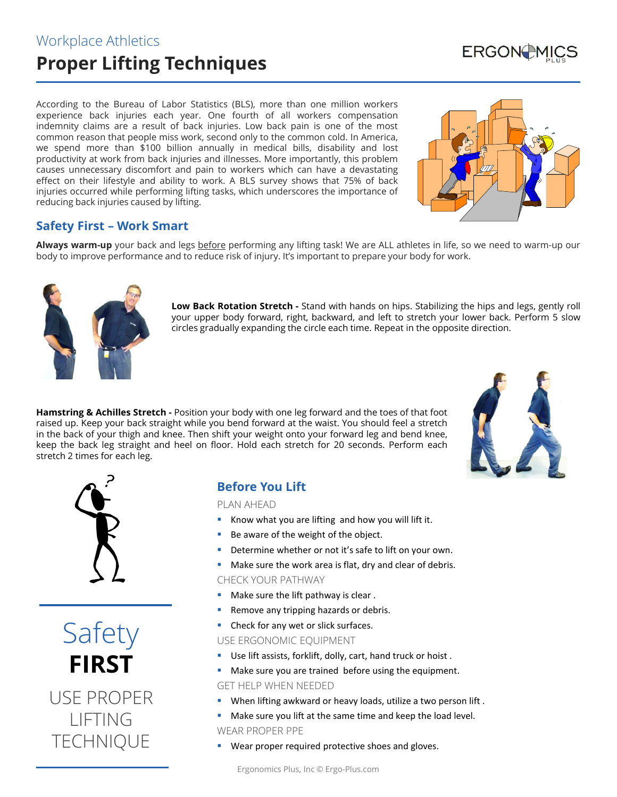## Workplace Athletics **Proper Lifting Techniques**

According to the Bureau of Labor Statistics (BLS), more than one million workers experience back injuries each year. One fourth of all workers compensation indemnity claims are a result of back injuries. Low back pain is one of the most common reason that people miss work, second only to the common cold. In America, we spend more than \$100 billion annually in medical bills, disability and lost productivity at work from back injuries and illnesses. More importantly, this problem causes unnecessary discomfort and pain to workers which can have a devastating effect on their lifestyle and ability to work. A BLS survey shows that 75% of back injuries occurred while performing lifting tasks, which underscores the importance of reducing back injuries caused by lifting.



**ERGON**US

### **Safety First – Work Smart**

Always warm-up your back and legs before performing any lifting task! We are ALL athletes in life, so we need to warm-up our body to improve performance and to reduce risk of injury. It's important to prepare your body for work.



**Low Back Rotation Stretch -** Stand with hands on hips. Stabilizing the hips and legs, gently roll your upper body forward, right, backward, and left to stretch your lower back. Perform 5 slow circles gradually expanding the circle each time. Repeat in the opposite direction.

**Hamstring & Achilles Stretch -** Position your body with one leg forward and the toes of that foot raised up. Keep your back straight while you bend forward at the waist. You should feel a stretch in the back of your thigh and knee. Then shift your weight onto your forward leg and bend knee, keep the back leg straight and heel on floor. Hold each stretch for 20 seconds. Perform each stretch 2 times for each leg.





Safety **FIRST** USE PROPER LIFTING **TECHNIQUE** 

### **Before You Lift**

#### PLAN AHEAD

- Know what you are lifting and how you will lift it.
- Be aware of the weight of the object.
- Determine whether or not it's safe to lift on your own.
- Make sure the work area is flat, dry and clear of debris.

CHECK YOUR PATHWAY

- Make sure the lift pathway is clear .
- **Remove any tripping hazards or debris.**
- Check for any wet or slick surfaces.

USE ERGONOMIC EQUIPMENT

- Use lift assists, forklift, dolly, cart, hand truck or hoist .
- **Make sure you are trained before using the equipment.** GET HELP WHEN NEEDED
- When lifting awkward or heavy loads, utilize a two person lift .
- Make sure you lift at the same time and keep the load level. WEAR PROPER PPE
- Wear proper required protective shoes and gloves.